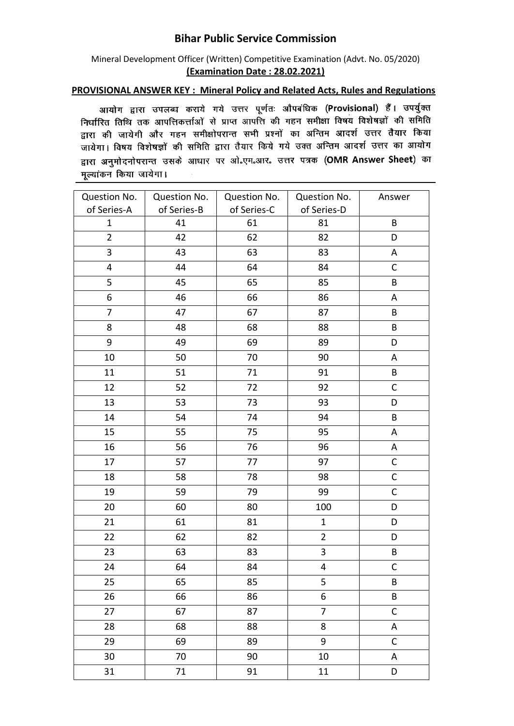## **Bihar Public Service Commission**

## Mineral Development Officer (Written) Competitive Examination (Advt. No. 05/2020) **(Examination Date : 28.02.2021)**

## **PROVISIONAL ANSWER KEY : Mineral Policy and Related Acts, Rules and Regulations**

आयोग द्वारा उपलब्ध कराये गये उत्तर पूर्णतः औपबंधिक (Provisional) हैं। उपर्युक्त निर्धारित तिथि तक आपत्तिकर्त्ताओं से प्राप्त आपत्ति की गहन समीक्षा विषय विशेषज्ञों की समिति रानगरसे स्तार कर का समय माना।<br>द्वारा की जायेगी और गहन समीक्षोपरान्त सभी प्रश्नों का अन्तिम आदर्श उत्तर तैयार किया जायेगा। विषय विशेषज्ञों की समिति द्वारा तैयार किये गये उक्त अन्तिम आदर्श उत्तर का आयोग द्वारा अनुमोदनोपरान्त उसके आधार पर ओ.एम.आर. उत्तर पत्रक (OMR Answer Sheet) का मुल्यांकन किया जायेगा।

| Question No.   | Question No. | Question No. | Question No.            | Answer       |
|----------------|--------------|--------------|-------------------------|--------------|
| of Series-A    | of Series-B  | of Series-C  | of Series-D             |              |
| $\mathbf{1}$   | 41           | 61           | 81                      | B            |
| $\overline{2}$ | 42           | 62           | 82                      | D            |
| 3              | 43           | 63           | 83                      | A            |
| 4              | 44           | 64           | 84                      | C            |
| 5              | 45           | 65           | 85                      | В            |
| 6              | 46           | 66           | 86                      | A            |
| $\overline{7}$ | 47           | 67           | 87                      | B            |
| 8              | 48           | 68           | 88                      | B            |
| 9              | 49           | 69           | 89                      | D            |
| 10             | 50           | 70           | 90                      | A            |
| 11             | 51           | 71           | 91                      | B            |
| 12             | 52           | 72           | 92                      | $\mathsf C$  |
| 13             | 53           | 73           | 93                      | D            |
| 14             | 54           | 74           | 94                      | B            |
| 15             | 55           | 75           | 95                      | A            |
| 16             | 56           | 76           | 96                      | A            |
| 17             | 57           | 77           | 97                      | $\mathsf C$  |
| 18             | 58           | 78           | 98                      | $\mathsf C$  |
| 19             | 59           | 79           | 99                      | $\mathsf C$  |
| 20             | 60           | 80           | 100                     | D            |
| 21             | 61           | 81           | $\mathbf{1}$            | D            |
| 22             | 62           | 82           | $\overline{2}$          | D            |
| 23             | 63           | 83           | 3                       | B            |
| 24             | 64           | 84           | $\overline{\mathbf{4}}$ | $\mathsf{C}$ |
| 25             | 65           | 85           | 5                       | B            |
| 26             | 66           | 86           | 6                       | B            |
| 27             | 67           | 87           | $\overline{7}$          | $\mathsf C$  |
| 28             | 68           | 88           | 8                       | A            |
| 29             | 69           | 89           | 9                       | $\mathsf C$  |
| 30             | 70           | 90           | $10\,$                  | A            |
| 31             | 71           | 91           | 11                      | D            |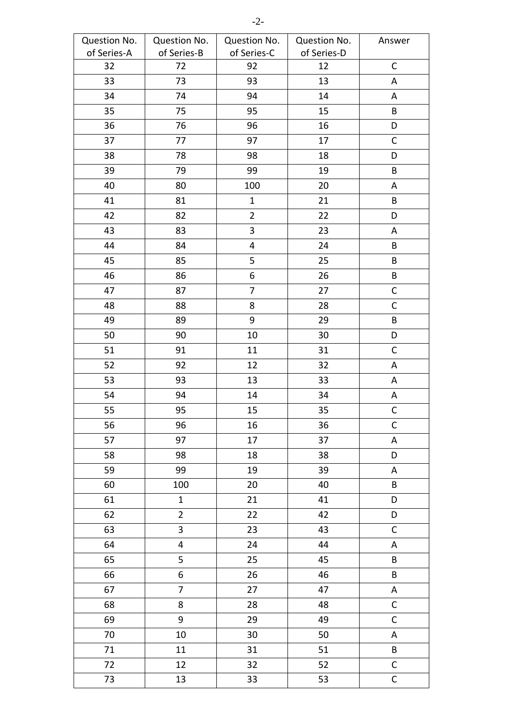| Question No. | Question No.            | Question No.   | Question No. | Answer      |
|--------------|-------------------------|----------------|--------------|-------------|
| of Series-A  | of Series-B             | of Series-C    | of Series-D  |             |
| 32           | 72                      | 92             | 12           | $\mathsf C$ |
| 33           | 73                      | 93             | 13           | A           |
| 34           | 74                      | 94             | 14           | A           |
| 35           | 75                      | 95             | 15           | B           |
| 36           | 76                      | 96             | 16           | D           |
| 37           | 77                      | 97             | 17           | $\mathsf C$ |
| 38           | 78                      | 98             | 18           | D           |
| 39           | 79                      | 99             | 19           | $\sf B$     |
| 40           | 80                      | 100            | 20           | A           |
| 41           | 81                      | $\mathbf{1}$   | 21           | B           |
| 42           | 82                      | $\overline{2}$ | 22           | D           |
| 43           | 83                      | 3              | 23           | A           |
| 44           | 84                      | 4              | 24           | B           |
| 45           | 85                      | 5              | 25           | B           |
| 46           | 86                      | 6              | 26           | $\sf{B}$    |
| 47           | 87                      | $\overline{7}$ | 27           | $\mathsf C$ |
| 48           | 88                      | 8              | 28           | $\mathsf C$ |
| 49           | 89                      | 9              | 29           | $\sf{B}$    |
| 50           | 90                      | 10             | 30           | D           |
| 51           | 91                      | 11             | 31           | $\mathsf C$ |
| 52           | 92                      | 12             | 32           | A           |
| 53           | 93                      | 13             | 33           | A           |
| 54           | 94                      | 14             | 34           | A           |
| 55           | 95                      | 15             | 35           | $\mathsf C$ |
| 56           | 96                      | $16\,$         | 36           | $\mathsf C$ |
| 57           | 97                      | 17             | 37           | A           |
| 58           | 98                      | 18             | 38           | D           |
| 59           | 99                      | 19             | 39           | A           |
| 60           | 100                     | 20             | 40           | B           |
| 61           | $\mathbf{1}$            | 21             | 41           | D           |
| 62           | $\overline{2}$          | 22             | 42           | D           |
| 63           | 3                       | 23             | 43           | $\mathsf C$ |
| 64           | $\overline{\mathbf{4}}$ | 24             | 44           | A           |
| 65           | 5                       | 25             | 45           | $\sf{B}$    |
| 66           | 6                       | 26             | 46           | B           |
| 67           | $\overline{7}$          | 27             | 47           | A           |
| 68           | 8                       | 28             | 48           | $\mathsf C$ |
| 69           | 9                       | 29             | 49           | $\mathsf C$ |
| 70           | 10                      | 30             | 50           | A           |
| 71           | 11                      | 31             | 51           | $\sf{B}$    |
| 72           | 12                      | 32             | 52           | $\mathsf C$ |
| 73           | 13                      | 33             | 53           | $\mathsf C$ |